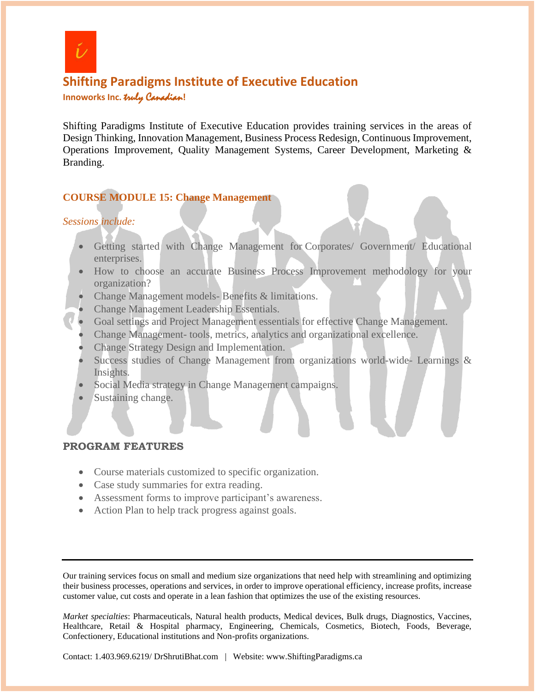

# **Shifting Paradigms Institute of Executive Education Innoworks Inc.** truly Canadian**!**

Shifting Paradigms Institute of Executive Education provides training services in the areas of Design Thinking, Innovation Management, Business Process Redesign, Continuous Improvement, Operations Improvement, Quality Management Systems, Career Development, Marketing & Branding.

## **COURSE MODULE 15: Change Management**

## *Sessions include:*

- Getting started with Change Management for Corporates/ Government/ Educational enterprises.
- How to choose an accurate Business Process Improvement methodology for your organization?
- Change Management models- Benefits & limitations.
- Change Management Leadership Essentials.
- Goal settings and Project Management essentials for effective Change Management.
- Change Management- tools, metrics, analytics and organizational excellence.
- Change Strategy Design and Implementation.
- Success studies of Change Management from organizations world-wide- Learnings & Insights.
- Social Media strategy in Change Management campaigns.
- Sustaining change.

### **PROGRAM FEATURES**

- Course materials customized to specific organization.
- Case study summaries for extra reading.
- Assessment forms to improve participant's awareness.
- Action Plan to help track progress against goals.

Our training services focus on small and medium size organizations that need help with streamlining and optimizing their business processes, operations and services, in order to improve operational efficiency, increase profits, increase customer value, cut costs and operate in a lean fashion that optimizes the use of the existing resources.

*Market specialties*: Pharmaceuticals, Natural health products, Medical devices, Bulk drugs, Diagnostics, Vaccines, Healthcare, Retail & Hospital pharmacy, Engineering, Chemicals, Cosmetics, Biotech, Foods, Beverage, Confectionery, Educational institutions and Non-profits organizations.

Contact: 1.403.969.6219/ DrShrutiBhat.com | Website: www.ShiftingParadigms.ca